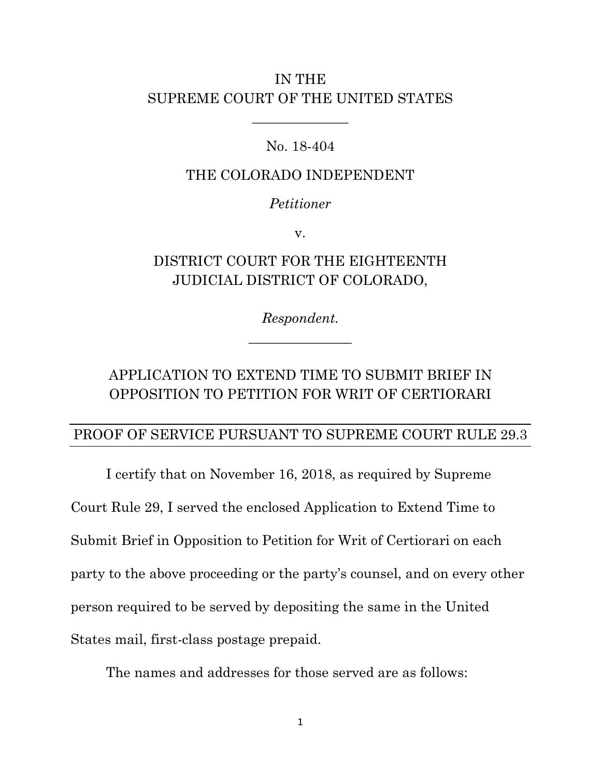## IN THE SUPREME COURT OF THE UNITED STATES

### No. 18-404

\_\_\_\_\_\_\_\_\_\_\_\_\_\_

#### THE COLORADO INDEPENDENT

#### *Petitioner*

v.

# DISTRICT COURT FOR THE EIGHTEENTH JUDICIAL DISTRICT OF COLORADO,

*Respondent. \_\_\_\_\_\_\_\_\_\_\_\_\_\_\_*

# APPLICATION TO EXTEND TIME TO SUBMIT BRIEF IN OPPOSITION TO PETITION FOR WRIT OF CERTIORARI

## PROOF OF SERVICE PURSUANT TO SUPREME COURT RULE 29.3

I certify that on November 16, 2018, as required by Supreme Court Rule 29, I served the enclosed Application to Extend Time to Submit Brief in Opposition to Petition for Writ of Certiorari on each party to the above proceeding or the party's counsel, and on every other person required to be served by depositing the same in the United States mail, first-class postage prepaid.

The names and addresses for those served are as follows: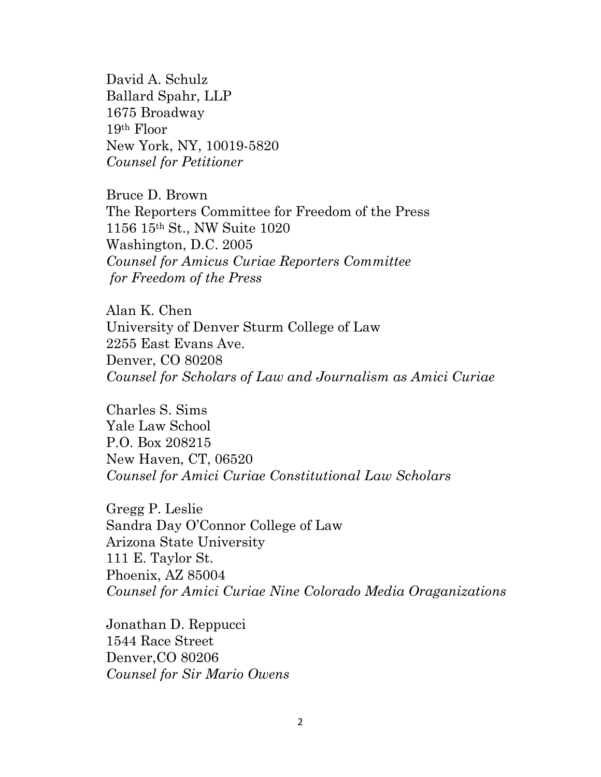David A. Schulz Ballard Spahr, LLP 1675 Broadway 19th Floor New York, NY, 10019-5820 *Counsel for Petitioner*

Bruce D. Brown The Reporters Committee for Freedom of the Press 1156 15th St., NW Suite 1020 Washington, D.C. 2005 *Counsel for Amicus Curiae Reporters Committee for Freedom of the Press*

Alan K. Chen University of Denver Sturm College of Law 2255 East Evans Ave. Denver, CO 80208 *Counsel for Scholars of Law and Journalism as Amici Curiae*

Charles S. Sims Yale Law School P.O. Box 208215 New Haven, CT, 06520 *Counsel for Amici Curiae Constitutional Law Scholars*

Gregg P. Leslie Sandra Day O'Connor College of Law Arizona State University 111 E. Taylor St. Phoenix, AZ 85004 *Counsel for Amici Curiae Nine Colorado Media Oraganizations*

Jonathan D. Reppucci 1544 Race Street Denver,CO 80206 *Counsel for Sir Mario Owens*